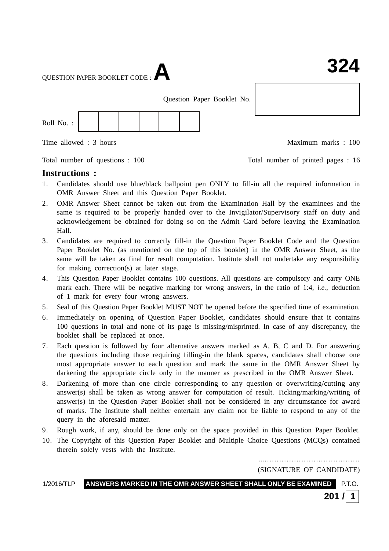QUESTION PAPER BOOKLET CODE :**A**

Question Paper Booklet No.



Time allowed : 3 hours Maximum marks : 100

Total number of questions : 100 Total number of printed pages : 16

**Instructions :**

- 1. Candidates should use blue/black ballpoint pen ONLY to fill-in all the required information in OMR Answer Sheet and this Question Paper Booklet.
- 2. OMR Answer Sheet cannot be taken out from the Examination Hall by the examinees and the same is required to be properly handed over to the Invigilator/Supervisory staff on duty and acknowledgement be obtained for doing so on the Admit Card before leaving the Examination Hall.
- 3. Candidates are required to correctly fill-in the Question Paper Booklet Code and the Question Paper Booklet No. (as mentioned on the top of this booklet) in the OMR Answer Sheet, as the same will be taken as final for result computation. Institute shall not undertake any responsibility for making correction(s) at later stage.
- 4. This Question Paper Booklet contains 100 questions. All questions are compulsory and carry ONE mark each. There will be negative marking for wrong answers, in the ratio of 1:4, *i.e.*, deduction of 1 mark for every four wrong answers.
- 5. Seal of this Question Paper Booklet MUST NOT be opened before the specified time of examination.
- 6. Immediately on opening of Question Paper Booklet, candidates should ensure that it contains 100 questions in total and none of its page is missing/misprinted. In case of any discrepancy, the booklet shall be replaced at once.
- 7. Each question is followed by four alternative answers marked as A, B, C and D. For answering the questions including those requiring filling-in the blank spaces, candidates shall choose one most appropriate answer to each question and mark the same in the OMR Answer Sheet by darkening the appropriate circle only in the manner as prescribed in the OMR Answer Sheet.
- 8. Darkening of more than one circle corresponding to any question or overwriting/cutting any answer(s) shall be taken as wrong answer for computation of result. Ticking/marking/writing of answer(s) in the Question Paper Booklet shall not be considered in any circumstance for award of marks. The Institute shall neither entertain any claim nor be liable to respond to any of the query in the aforesaid matter.
- 9. Rough work, if any, should be done only on the space provided in this Question Paper Booklet.
- 10. The Copyright of this Question Paper Booklet and Multiple Choice Questions (MCQs) contained therein solely vests with the Institute.

...………………………………… (SIGNATURE OF CANDIDATE)

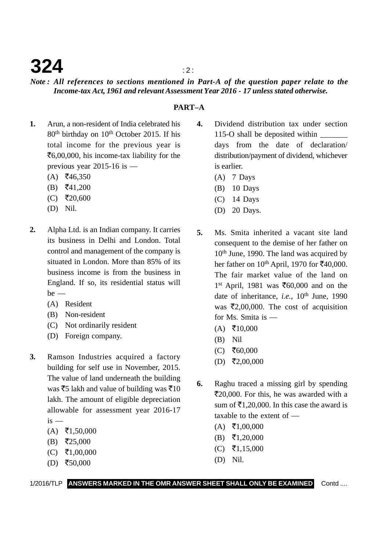### **324**  $\frac{1}{2}$

### *Note : All references to sections mentioned in Part-A of the question paper relate to the Income-tax Act, 1961 and relevant Assessment Year 2016 - 17 unless stated otherwise.*

### **PART–A**

- **1.** Arun, a non-resident of India celebrated his 80<sup>th</sup> birthday on 10<sup>th</sup> October 2015. If his total income for the previous year is ₹6,00,000, his income-tax liability for the previous year 2015-16 is —
	- $(A)$  ₹46,350
	- $(B)$   $\bar{z}$ 41,200
	- (C) ₹20,600
	- (D) Nil.
- **2.** Alpha Ltd. is an Indian company. It carries its business in Delhi and London. Total control and management of the company is situated in London. More than 85% of its business income is from the business in England. If so, its residential status will  $be$  —
	- (A) Resident
	- (B) Non-resident
	- (C) Not ordinarily resident
	- (D) Foreign company.
- **3.** Ramson Industries acquired a factory building for self use in November, 2015. The value of land underneath the building was  $\bar{z}$ 5 lakh and value of building was  $\bar{z}$ 10 lakh. The amount of eligible depreciation allowable for assessment year 2016-17  $is -$ 
	- $(A)$  ₹1,50,000
	- $(B)$  ₹25,000
	- $(C)$  ₹1,00,000
	- $(D)$  ₹50,000
- **4.** Dividend distribution tax under section 115-O shall be deposited within \_\_\_\_\_\_\_ days from the date of declaration/ distribution/payment of dividend, whichever is earlier.
	- $(A)$  7 Days
	- (B) 10 Days
	- (C) 14 Days
	- (D) 20 Days.
- **5.** Ms. Smita inherited a vacant site land consequent to the demise of her father on 10<sup>th</sup> June, 1990. The land was acquired by her father on  $10^{th}$  April, 1970 for  $\text{\textoverline{5}}40,000$ . The fair market value of the land on 1<sup>st</sup> April, 1981 was ₹60,000 and on the date of inheritance, *i.e.*, 10<sup>th</sup> June, 1990 was  $\overline{\epsilon}2,00,000$ . The cost of acquisition for Ms. Smita is —
	- $(A)$  ₹10,000
	- (B) Nil
	- $(C)$  ₹60,000
	- $(D)$  ₹2,00,000
- **6.** Raghu traced a missing girl by spending ₹20,000. For this, he was awarded with a sum of  $\bar{\mathfrak{E}}1,20,000$ . In this case the award is taxable to the extent of —
	- $(A)$  ₹1,00,000
	- $(B)$  ₹1,20,000
	- $(C)$  ₹1,15,000
	- (D) Nil.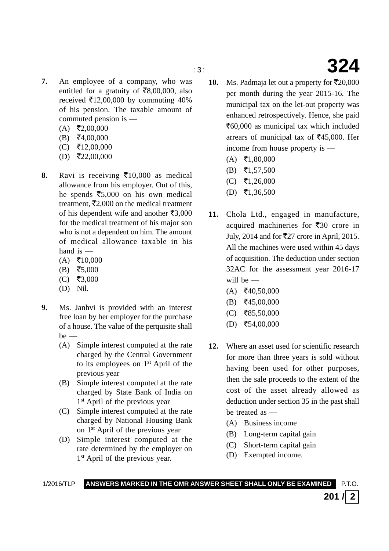- 
- **7.** An employee of a company, who was entitled for a gratuity of  $\bar{\mathcal{F}}8,00,000$ , also received  $\bar{\epsilon}$ 12,00,000 by commuting 40% of his pension. The taxable amount of commuted pension is —
	- $(A)$  ₹2,00,000
	- $(B)$  ₹4,00,000
	- $(C)$  ₹12,00,000
	- $(D)$  ₹22,00,000
- 8. Ravi is receiving  $\bar{\epsilon}$ 10,000 as medical allowance from his employer. Out of this, he spends  $\overline{\epsilon}$ 5,000 on his own medical treatment,  $\bar{\mathbf{z}}_{2,000}$  on the medical treatment of his dependent wife and another  $\bar{\mathfrak{F}}3,000$ for the medical treatment of his major son who is not a dependent on him. The amount of medical allowance taxable in his hand is —
	- $(A)$  ₹10,000
	- $(B)$  ₹5,000
	- $(C)$  ₹3,000
	- (D) Nil.
- **9.** Ms. Janhvi is provided with an interest free loan by her employer for the purchase of a house. The value of the perquisite shall  $be$  —
	- (A) Simple interest computed at the rate charged by the Central Government to its employees on 1st April of the previous year
	- (B) Simple interest computed at the rate charged by State Bank of India on 1<sup>st</sup> April of the previous year
	- (C) Simple interest computed at the rate charged by National Housing Bank on 1st April of the previous year
	- (D) Simple interest computed at the rate determined by the employer on 1<sup>st</sup> April of the previous year.
- 10. Ms. Padmaja let out a property for  $\bar{\mathfrak{r}}20,000$ per month during the year 2015-16. The municipal tax on the let-out property was enhanced retrospectively. Hence, she paid ₹60,000 as municipal tax which included arrears of municipal tax of  $\text{\textsterling}45,000$ . Her income from house property is —
	- $(A)$  ₹1,80,000
	- $(B)$   $\bar{z}$ 1,57,500
	- $(C)$  ₹1,26,000
	- $(D)$  ₹1,36,500
- **11.** Chola Ltd., engaged in manufacture, acquired machineries for  $\overline{\xi}30$  crore in July, 2014 and for ₹27 crore in April, 2015. All the machines were used within 45 days of acquisition. The deduction under section 32AC for the assessment year 2016-17 will be —
	- $(A)$  ₹40,50,000
	- $(B)$  ₹45,00,000
	- $(C)$  ₹85,50,000
	- $(D)$  ₹54,00,000
- **12.** Where an asset used for scientific research for more than three years is sold without having been used for other purposes, then the sale proceeds to the extent of the cost of the asset already allowed as deduction under section 35 in the past shall be treated as —
	- (A) Business income
	- (B) Long-term capital gain
	- (C) Short-term capital gain

**201 / 2**

(D) Exempted income.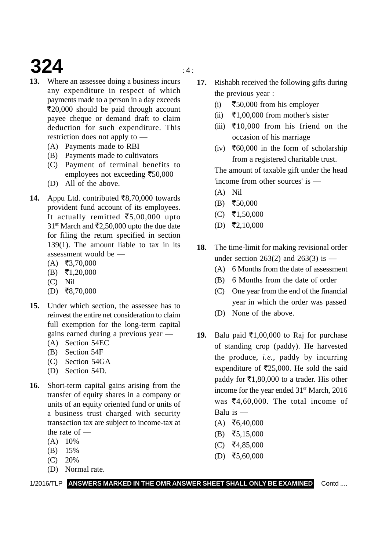# **324**  $\frac{4}{4}$

- **13.** Where an assessee doing a business incurs any expenditure in respect of which payments made to a person in a day exceeds ₹20,000 should be paid through account payee cheque or demand draft to claim deduction for such expenditure. This restriction does not apply to —
	- (A) Payments made to RBI
	- (B) Payments made to cultivators
	- (C) Payment of terminal benefits to employees not exceeding ₹50,000
	- (D) All of the above.
- 14. Appu Ltd. contributed ₹8,70,000 towards provident fund account of its employees. It actually remitted  $\bar{\epsilon}$ 5,00,000 upto 31<sup>st</sup> March and  $\bar{\mathcal{F}}2,50,000$  upto the due date for filing the return specified in section 139(1). The amount liable to tax in its assessment would be —
	- $(A)$  ₹3,70,000
	- $(B) \quad \overline{5}1,20,000$
	- (C) Nil
	- $(D)$  ₹8,70,000
- **15.** Under which section, the assessee has to reinvest the entire net consideration to claim full exemption for the long-term capital gains earned during a previous year —
	- (A) Section 54EC
	- (B) Section 54F
	- (C) Section 54GA
	- (D) Section 54D.
- **16.** Short-term capital gains arising from the transfer of equity shares in a company or units of an equity oriented fund or units of a business trust charged with security transaction tax are subject to income-tax at the rate of —
	- $(A)$  10%
	- (B) 15%
	- (C) 20%
	- (D) Normal rate.

1/2016/TLP **ANSWERS MARKED IN THE OMR ANSWER SHEET SHALL ONLY BE EXAMINED** Contd ....

- **17.** Rishabh received the following gifts during the previous year :
	- $(i)$ 50,000 from his employer
	- $(ii)$  $\bar{\xi}$ 1,00,000 from mother's sister
	- (iii)  $\overline{\xi}$ 10,000 from his friend on the occasion of his marriage
	- $(iv)$   $\overline{\xi}60,000$  in the form of scholarship from a registered charitable trust.

The amount of taxable gift under the head 'income from other sources' is —

- (A) Nil
- $(B)$  ₹50,000
- $(C)$  ₹1,50,000
- $(D)$  ₹2,10,000
- **18.** The time-limit for making revisional order under section 263(2) and 263(3) is  $-$ 
	- (A) 6 Months from the date of assessment
	- (B) 6 Months from the date of order
	- (C) One year from the end of the financial year in which the order was passed
	- (D) None of the above.
- 19. Balu paid  $\bar{\epsilon}$ 1,00,000 to Raj for purchase of standing crop (paddy). He harvested the produce, *i.e.*, paddy by incurring expenditure of  $\overline{5}25,000$ . He sold the said paddy for  $\bar{\mathfrak{e}}$ 1,80,000 to a trader. His other income for the year ended 31<sup>st</sup> March, 2016 was  $\bar{\mathcal{E}}_4$ , 60, 000. The total income of Balu is —
	- $(A)$  ₹6,40,000
	- $(B)$  ₹5,15,000
	- $(C)$  ₹4,85,000
	- $(D)$  ₹5,60,000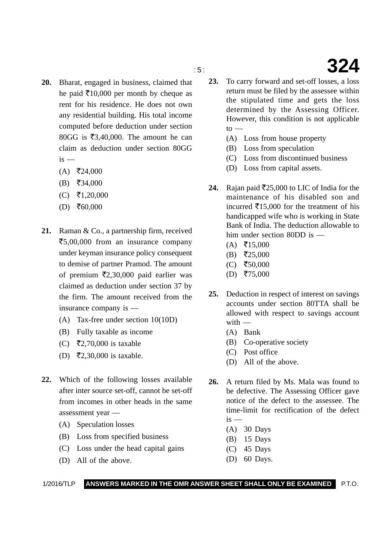- 
- **20.** Bharat, engaged in business, claimed that he paid  $\bar{\mathcal{F}}$ 10,000 per month by cheque as rent for his residence. He does not own any residential building. His total income computed before deduction under section 80GG is  $\overline{53,40,000}$ . The amount he can claim as deduction under section 80GG  $is$  —
	- $(A)$  ₹24,000
	- $(B)$  ₹34,000
	- $(C)$  ₹1,20,000
	- $(D)$  ₹60,000
- **21.** Raman & Co., a partnership firm, received ₹5,00,000 from an insurance company under keyman insurance policy consequent to demise of partner Pramod. The amount of premium  $\overline{\epsilon}2,30,000$  paid earlier was claimed as deduction under section 37 by the firm. The amount received from the insurance company is —
	- (A) Tax-free under section 10(10D)
	- (B) Fully taxable as income
	- (C) ₹2,70,000 is taxable
	- (D) ₹2,30,000 is taxable.
- **22.** Which of the following losses available after inter source set-off, cannot be set-off from incomes in other heads in the same assessment year —
	- (A) Speculation losses
	- (B) Loss from specified business
	- (C) Loss under the head capital gains
	- (D) All of the above.
- **23.** To carry forward and set-off losses, a loss return must be filed by the assessee within the stipulated time and gets the loss determined by the Assessing Officer. However, this condition is not applicable  $to -$ 
	- (A) Loss from house property
	- (B) Loss from speculation
	- (C) Loss from discontinued business
	- (D) Loss from capital assets.
- **24.** Rajan paid  $\overline{5}25,000$  to LIC of India for the maintenance of his disabled son and incurred  $\bar{\epsilon}$ 15,000 for the treatment of his handicapped wife who is working in State Bank of India. The deduction allowable to him under section 80DD is —
	- $(A)$  ₹15,000
	- $(B)$  ₹25,000
	- $(C)$  ₹50,000
	- $(D)$  ₹75,000
- **25.** Deduction in respect of interest on savings accounts under section 80TTA shall be allowed with respect to savings account with —
	- (A) Bank
	- (B) Co-operative society
	- (C) Post office
	- (D) All of the above.
- **26.** A return filed by Ms. Mala was found to be defective. The Assessing Officer gave notice of the defect to the assessee. The time-limit for rectification of the defect  $i<sub>s</sub>$  —
	- (A) 30 Days
	- (B) 15 Days
	- (C) 45 Days
	- (D) 60 Days.

### 1/2016/TLP **ANSWERS MARKED IN THE OMR ANSWER SHEET SHALL ONLY BE EXAMINED** P.T.O.

: 5 : **324**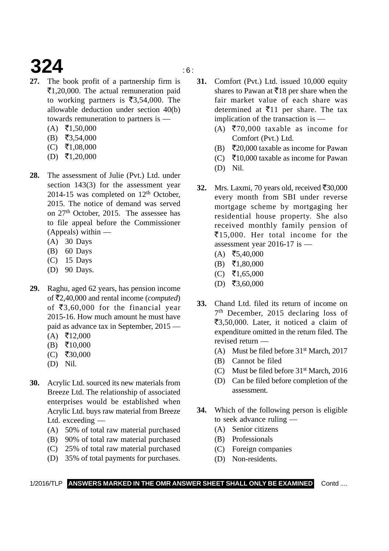# **324** is a set of  $\mathbf{S}$

- **27.** The book profit of a partnership firm is ₹1,20,000. The actual remuneration paid to working partners is  $\overline{\mathfrak{3}}3,54,000$ . The allowable deduction under section 40(b) towards remuneration to partners is —
	- $(A)$  ₹1,50,000
	- $(B)$  ₹3,54,000
	- $(C)$  ₹1,08,000
	- $(D)$  ₹1,20,000
- **28.** The assessment of Julie (Pvt.) Ltd. under section 143(3) for the assessment year 2014-15 was completed on  $12<sup>th</sup>$  October. 2015. The notice of demand was served on 27th October, 2015. The assessee has to file appeal before the Commissioner (Appeals) within —
	- (A) 30 Days
	- (B) 60 Days
	- (C) 15 Days
	- (D) 90 Days.
- **29.** Raghu, aged 62 years, has pension income of ₹2,40,000 and rental income (*computed*) of  $\bar{\mathfrak{z}}3,60,000$  for the financial year 2015-16. How much amount he must have paid as advance tax in September, 2015 —
	- $(A)$  ₹12,000
	- $(B)$  ₹10,000
	- $(C)$  ₹30,000
	- (D) Nil.
- **30.** Acrylic Ltd. sourced its new materials from Breeze Ltd. The relationship of associated enterprises would be established when Acrylic Ltd. buys raw material from Breeze Ltd. exceeding —
	- (A) 50% of total raw material purchased
	- (B) 90% of total raw material purchased
	- (C) 25% of total raw material purchased
	- (D) 35% of total payments for purchases.
- **31.** Comfort (Pvt.) Ltd. issued 10,000 equity shares to Pawan at  $\bar{x}$ 18 per share when the fair market value of each share was determined at  $\bar{\xi}$ 11 per share. The tax implication of the transaction is —
	- (A) ₹70,000 taxable as income for Comfort (Pvt.) Ltd.
	- (B) ₹20,000 taxable as income for Pawan
	- (C) ₹10,000 taxable as income for Pawan
	- (D) Nil.
- 32. Mrs. Laxmi, 70 years old, received  $\bar{\mathcal{L}}30,000$ every month from SBI under reverse mortgage scheme by mortgaging her residential house property. She also received monthly family pension of -15,000. Her total income for the assessment year 2016-17 is —
	- $(A)$  ₹5,40,000
	- $(B) \quad \overline{5}1,80,000$
	- $(C)$  ₹1,65,000
	- $(D)$  ₹3,60,000
- **33.** Chand Ltd. filed its return of income on 7th December, 2015 declaring loss of ₹3,50,000. Later, it noticed a claim of expenditure omitted in the return filed. The revised return —
	- (A) Must be filed before  $31<sup>st</sup>$  March, 2017
	- (B) Cannot be filed
	- (C) Must be filed before 31st March, 2016
	- (D) Can be filed before completion of the assessment.
- **34.** Which of the following person is eligible to seek advance ruling —
	- (A) Senior citizens
	- (B) Professionals
	- (C) Foreign companies
	- (D) Non-residents.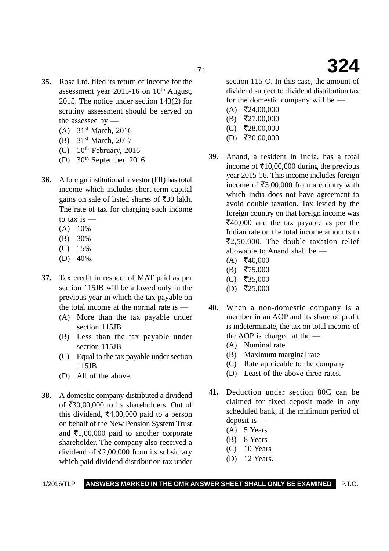- 
- **35.** Rose Ltd. filed its return of income for the assessment year 2015-16 on  $10<sup>th</sup>$  August, 2015. The notice under section 143(2) for scrutiny assessment should be served on the assessee by —
	- (A) 31st March, 2016
	- (B) 31st March, 2017
	- (C)  $10^{th}$  February, 2016
	- (D)  $30<sup>th</sup>$  September, 2016.
- **36.** A foreign institutional investor (FII) has total income which includes short-term capital gains on sale of listed shares of  $\overline{5}30$  lakh. The rate of tax for charging such income to tax is  $-$ 
	- $(A)$  10%
	- (B) 30%
	- (C) 15%
	- (D) 40%.
- **37.** Tax credit in respect of MAT paid as per section 115JB will be allowed only in the previous year in which the tax payable on the total income at the normal rate is —
	- (A) More than the tax payable under section 115JB
	- (B) Less than the tax payable under section 115JB
	- (C) Equal to the tax payable under section 115JB
	- (D) All of the above.
- **38.** A domestic company distributed a dividend of ₹30,00,000 to its shareholders. Out of this dividend,  $\bar{\mathfrak{e}}4,00,000$  paid to a person on behalf of the New Pension System Trust and  $\bar{\epsilon}$ 1,00,000 paid to another corporate shareholder. The company also received a dividend of  $\overline{\mathfrak{Z}}2,00,000$  from its subsidiary which paid dividend distribution tax under

section 115-O. In this case, the amount of dividend subject to dividend distribution tax for the domestic company will be —

- $(A)$  ₹24,00,000
- $(B)$  ₹27,00,000
- $(C)$  ₹28,00,000
- $(D)$  ₹30,00,000
- **39.** Anand, a resident in India, has a total income of  $\bar{\mathcal{F}}$ 10,00,000 during the previous year 2015-16. This income includes foreign income of  $\text{\textsterling}3,00,000$  from a country with which India does not have agreement to avoid double taxation. Tax levied by the foreign country on that foreign income was ₹40,000 and the tax payable as per the Indian rate on the total income amounts to ₹2,50,000. The double taxation relief allowable to Anand shall be —
	- $(A)$  ₹40,000
	- $(B)$  ₹75,000
	- $(C)$  ₹35,000
	- $(D)$  ₹25,000
- **40.** When a non-domestic company is a member in an AOP and its share of profit is indeterminate, the tax on total income of the AOP is charged at the —
	- (A) Nominal rate
	- (B) Maximum marginal rate
	- (C) Rate applicable to the company
	- (D) Least of the above three rates.
- **41.** Deduction under section 80C can be claimed for fixed deposit made in any scheduled bank, if the minimum period of deposit is —
	- (A) 5 Years
	- (B) 8 Years
	- $(C)$  10 Years
	- (D) 12 Years.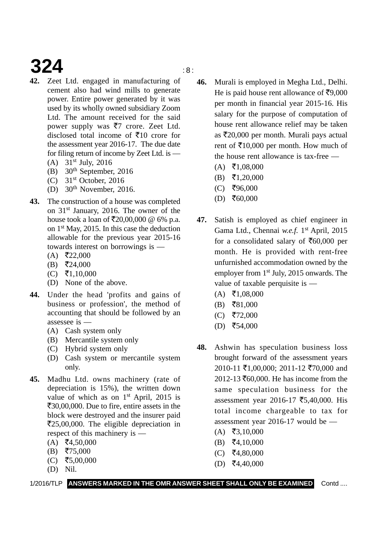# **324**  $\qquad \qquad$   $\qquad \qquad$   $\qquad \qquad$   $\qquad \qquad$   $\qquad \qquad$   $\qquad \qquad$   $\qquad \qquad$   $\qquad \qquad$   $\qquad \qquad$   $\qquad \qquad$   $\qquad \qquad$   $\qquad \qquad$   $\qquad \qquad$   $\qquad \qquad$   $\qquad \qquad$   $\qquad$   $\qquad \qquad$   $\qquad \qquad$   $\qquad \qquad$   $\qquad \qquad$   $\qquad \qquad$   $\qquad \qquad$   $\qquad \qquad$   $\qquad \qquad$   $\q$

- **42.** Zeet Ltd. engaged in manufacturing of cement also had wind mills to generate power. Entire power generated by it was used by its wholly owned subsidiary Zoom Ltd. The amount received for the said power supply was  $\overline{z}$  crore. Zeet Ltd. disclosed total income of  $\bar{\mathfrak{F}}$ 10 crore for the assessment year 2016-17. The due date for filing return of income by Zeet Ltd. is —
	- (A) 31st July, 2016
	- (B)  $30<sup>th</sup>$  September, 2016
	- $(C)$  31<sup>st</sup> October, 2016
	- (D)  $30<sup>th</sup>$  November, 2016.
- **43.** The construction of a house was completed on 31st January, 2016. The owner of the house took a loan of  $\bar{\mathfrak{r}} 20,00,000 \otimes 6\%$  p.a. on 1st May, 2015. In this case the deduction allowable for the previous year 2015-16 towards interest on borrowings is —
	- $(A)$  ₹22,000
	- $(B)$  ₹24,000
	- $(C)$  ₹1,10,000
	- (D) None of the above.
- **44.** Under the head 'profits and gains of business or profession', the method of accounting that should be followed by an assessee is —
	- (A) Cash system only
	- (B) Mercantile system only
	- (C) Hybrid system only
	- (D) Cash system or mercantile system only.
- **45.** Madhu Ltd. owns machinery (rate of depreciation is 15%), the written down value of which as on 1<sup>st</sup> April, 2015 is  $\mathsf{F}30,00,000$ . Due to fire, entire assets in the block were destroyed and the insurer paid ₹25,00,000. The eligible depreciation in respect of this machinery is —
	- $(A)$  ₹4,50,000
	- $(B)$  ₹75,000
	- $(C)$  ₹5,00,000
	- (D) Nil.

- **46.** Murali is employed in Megha Ltd., Delhi. He is paid house rent allowance of  $\text{F}9,000$ per month in financial year 2015-16. His salary for the purpose of computation of house rent allowance relief may be taken as ₹20,000 per month. Murali pays actual rent of  $\text{\textsterling}10,000$  per month. How much of the house rent allowance is tax-free —
	- $(A)$  ₹1,08,000
	- $(B)$  ₹1,20,000
	- $(C)$  ₹96,000
	- $(D)$  ₹60,000
- **47.** Satish is employed as chief engineer in Gama Ltd., Chennai *w.e.f.* 1<sup>st</sup> April, 2015 for a consolidated salary of  $\text{\textsterling}60,000$  per month. He is provided with rent-free unfurnished accommodation owned by the employer from 1<sup>st</sup> July, 2015 onwards. The value of taxable perquisite is —
	- $(A)$  ₹1,08,000
	- $(B)$  ₹81,000
	- (C) ₹72,000
	- $(D)$  ₹54,000
- **48.** Ashwin has speculation business loss brought forward of the assessment years 2010-11 ₹1,00,000; 2011-12 ₹70,000 and 2012-13 ₹60,000. He has income from the same speculation business for the assessment year 2016-17 ₹5,40,000. His total income chargeable to tax for assessment year 2016-17 would be —
	- $(A)$  ₹3,10,000
	- $(B)$  ₹4,10,000
	- $(C)$  ₹4,80,000
	- $(D)$  ₹4,40,000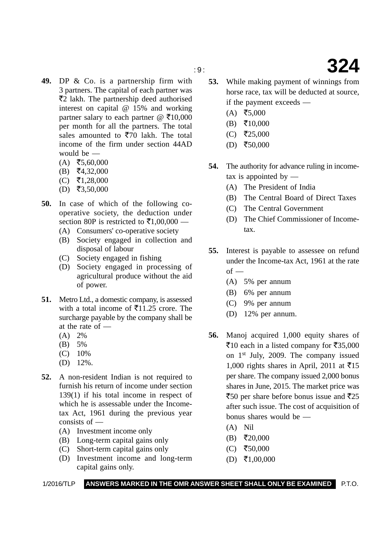- **49.** DP & Co. is a partnership firm with 3 partners. The capital of each partner was ₹2 lakh. The partnership deed authorised interest on capital @ 15% and working partner salary to each partner @  $\bar{\mathcal{F}}$ 10,000 per month for all the partners. The total sales amounted to  $\overline{570}$  lakh. The total income of the firm under section 44AD would be —
	- $(A)$  ₹5,60,000
	- $(B)$  ₹4,32,000
	- $(C)$  ₹1,28,000
	- $(D)$  ₹3,50,000
- **50.** In case of which of the following cooperative society, the deduction under section 80P is restricted to  $\bar{\mathfrak{e}}1,00,000$  —
	- (A) Consumers' co-operative society
	- (B) Society engaged in collection and disposal of labour
	- (C) Society engaged in fishing
	- (D) Society engaged in processing of agricultural produce without the aid of power.
- **51.** Metro Ltd., a domestic company, is assessed with a total income of  $\bar{\mathfrak{E}}11.25$  crore. The surcharge payable by the company shall be at the rate of —
	- $(A) 2%$
	- (B) 5%
	- (C) 10%
	- (D) 12%.
- **52.** A non-resident Indian is not required to furnish his return of income under section 139(1) if his total income in respect of which he is assessable under the Incometax Act, 1961 during the previous year consists of —
	- (A) Investment income only
	- (B) Long-term capital gains only
	- (C) Short-term capital gains only
	- (D) Investment income and long-term capital gains only.
- **53.** While making payment of winnings from horse race, tax will be deducted at source, if the payment exceeds —
	- $(A)$  ₹5,000
	- $(B)$  ₹10,000
	- $(C)$  ₹25,000
	- $(D)$  ₹50,000
- **54.** The authority for advance ruling in incometax is appointed by —
	- (A) The President of India
	- (B) The Central Board of Direct Taxes
	- (C) The Central Government
	- (D) The Chief Commissioner of Incometax.
- **55.** Interest is payable to assessee on refund under the Income-tax Act, 1961 at the rate  $of -$ 
	- (A) 5% per annum
	- (B) 6% per annum
	- (C) 9% per annum
	- (D) 12% per annum.
- **56.** Manoj acquired 1,000 equity shares of ₹10 each in a listed company for ₹35,000 on 1st July, 2009. The company issued 1,000 rights shares in April, 2011 at ₹15 per share. The company issued 2,000 bonus shares in June, 2015. The market price was ₹50 per share before bonus issue and ₹25 after such issue. The cost of acquisition of bonus shares would be —
	- (A) Nil
	- $(B)$  ₹20,000
	- $(C)$  ₹50,000
	- $(D)$  ₹1,00,000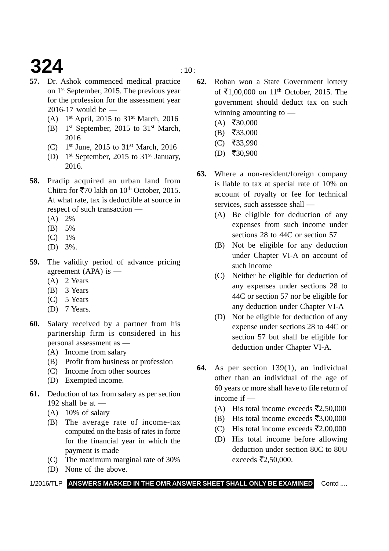# **324**  $\frac{10}{10}$

- **57.** Dr. Ashok commenced medical practice on 1st September, 2015. The previous year for the profession for the assessment year 2016-17 would be —
	- (A)  $1<sup>st</sup>$  April, 2015 to 31<sup>st</sup> March, 2016
	- (B)  $1<sup>st</sup> September, 2015 to 31<sup>st</sup> March,$ 2016
	- (C)  $1^{st}$  June, 2015 to 31st March, 2016
	- (D) 1st September, 2015 to 31st January, 2016.
- **58.** Pradip acquired an urban land from Chitra for  $\overline{570}$  lakh on  $10^{th}$  October, 2015. At what rate, tax is deductible at source in respect of such transaction —
	- (A) 2%
	- (B) 5%
	- (C) 1%
	- (D) 3%.
- **59.** The validity period of advance pricing agreement (APA) is —
	- (A) 2 Years
	- (B) 3 Years
	- (C) 5 Years
	- (D) 7 Years.
- **60.** Salary received by a partner from his partnership firm is considered in his personal assessment as —
	- (A) Income from salary
	- (B) Profit from business or profession
	- (C) Income from other sources
	- (D) Exempted income.
- **61.** Deduction of tax from salary as per section 192 shall be at  $-$ 
	- (A) 10% of salary
	- (B) The average rate of income-tax computed on the basis of rates in force for the financial year in which the payment is made
	- (C) The maximum marginal rate of 30%
	- (D) None of the above.
- **62.** Rohan won a State Government lottery of ₹1,00,000 on 11<sup>th</sup> October, 2015. The government should deduct tax on such winning amounting to —
	- $(A)$  ₹30,000
	- $(B)$  ₹33,000
	- $(C)$  ₹33,990
	- $(D)$  ₹30,900
- **63.** Where a non-resident/foreign company is liable to tax at special rate of 10% on account of royalty or fee for technical services, such assessee shall —
	- (A) Be eligible for deduction of any expenses from such income under sections 28 to 44C or section 57
	- (B) Not be eligible for any deduction under Chapter VI-A on account of such income
	- (C) Neither be eligible for deduction of any expenses under sections 28 to 44C or section 57 nor be eligible for any deduction under Chapter VI-A
	- (D) Not be eligible for deduction of any expense under sections 28 to 44C or section 57 but shall be eligible for deduction under Chapter VI-A.
- **64.** As per section 139(1), an individual other than an individual of the age of 60 years or more shall have to file return of income if —
	- (A) His total income exceeds  $\overline{\mathfrak{Z}}2,50,000$
	- (B) His total income exceeds  $\overline{\mathbf{z}}$ 3,00,000
	- (C) His total income exceeds  $\overline{\mathbb{Z}}2,00,000$
	- (D) His total income before allowing deduction under section 80C to 80U exceeds  $\bar{\tau}$ 2,50,000.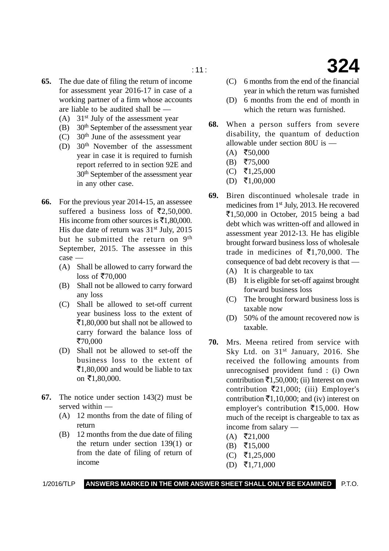- **65.** The due date of filing the return of income for assessment year 2016-17 in case of a working partner of a firm whose accounts are liable to be audited shall be —
	- (A)  $31<sup>st</sup>$  July of the assessment year
	- (B)  $30<sup>th</sup>$  September of the assessment year
	- (C)  $30<sup>th</sup>$  June of the assessment year
	- (D) 30th November of the assessment year in case it is required to furnish report referred to in section 92E and 30th September of the assessment year in any other case.
- **66.** For the previous year 2014-15, an assessee suffered a business loss of  $\overline{\epsilon}2,50,000$ . His income from other sources is  $\bar{\mathfrak{E}}1,80,000$ . His due date of return was  $31<sup>st</sup>$  July, 2015 but he submitted the return on 9th September, 2015. The assessee in this case —
	- (A) Shall be allowed to carry forward the loss of ₹70,000
	- (B) Shall not be allowed to carry forward any loss
	- (C) Shall be allowed to set-off current year business loss to the extent of ₹1,80,000 but shall not be allowed to carry forward the balance loss of ₹70,000
	- (D) Shall not be allowed to set-off the business loss to the extent of  $\bar{z}$ 1,80,000 and would be liable to tax on ₹1,80,000.
- **67.** The notice under section 143(2) must be served within —
	- (A) 12 months from the date of filing of return
	- (B) 12 months from the due date of filing the return under section 139(1) or from the date of filing of return of income

(C) 6 months from the end of the financial year in which the return was furnished

- (D) 6 months from the end of month in which the return was furnished.
- **68.** When a person suffers from severe disability, the quantum of deduction allowable under section 80U is —
	- $(A)$  ₹50,000
	- $(B)$  ₹75,000
	- $(C)$  ₹1,25,000
	- $(D)$  ₹1,00,000
- **69.** Biren discontinued wholesale trade in medicines from 1st July, 2013. He recovered -1,50,000 in October, 2015 being a bad debt which was written-off and allowed in assessment year 2012-13. He has eligible brought forward business loss of wholesale trade in medicines of  $\bar{\epsilon}$ 1,70,000. The consequence of bad debt recovery is that —
	- (A) It is chargeable to tax
	- (B) It is eligible for set-off against brought forward business loss
	- (C) The brought forward business loss is taxable now
	- (D) 50% of the amount recovered now is taxable.
- **70.** Mrs. Meena retired from service with Sky Ltd. on  $31<sup>st</sup>$  January, 2016. She received the following amounts from unrecognised provident fund : (i) Own contribution  $\bar{x}$ 1,50,000; (ii) Interest on own contribution  $\bar{\mathfrak{Z}}21,000$ ; (iii) Employer's contribution  $\bar{x}$ 1,10,000; and (iv) interest on employer's contribution ₹15,000. How much of the receipt is chargeable to tax as income from salary —
	- $(A)$  ₹21,000
	- $(B)$  ₹15,000
	- $(C)$  ₹1,25,000
	- $(D)$  ₹1,71,000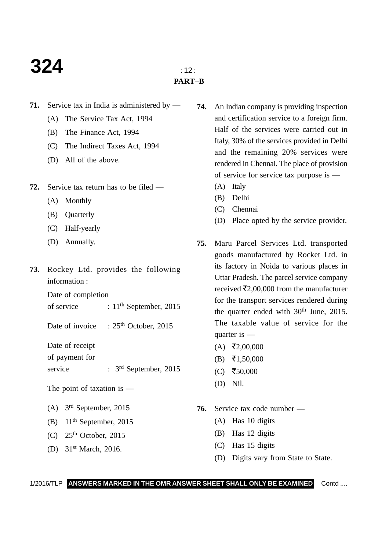### **324**  $\frac{1}{2}$

### **PART–B**

- **71.** Service tax in India is administered by
	- (A) The Service Tax Act, 1994
	- (B) The Finance Act, 1994
	- (C) The Indirect Taxes Act, 1994
	- (D) All of the above.
- **72.** Service tax return has to be filed
	- (A) Monthly
	- (B) Quarterly
	- (C) Half-yearly
	- (D) Annually.
- **73.** Rockey Ltd. provides the following information :

Date of completion

of service  $: 11<sup>th</sup>$  September, 2015

Date of invoice : 25<sup>th</sup> October, 2015

Date of receipt

of payment for

service : 3<sup>rd</sup> September, 2015

The point of taxation is —

- (A) 3rd September, 2015
- (B)  $11<sup>th</sup>$  September, 2015
- $(C)$  25<sup>th</sup> October, 2015
- (D) 31st March, 2016.
- **74.** An Indian company is providing inspection and certification service to a foreign firm. Half of the services were carried out in Italy, 30% of the services provided in Delhi and the remaining 20% services were rendered in Chennai. The place of provision of service for service tax purpose is —
	- (A) Italy
	- (B) Delhi
	- (C) Chennai
	- (D) Place opted by the service provider.
- **75.** Maru Parcel Services Ltd. transported goods manufactured by Rocket Ltd. in its factory in Noida to various places in Uttar Pradesh. The parcel service company received  $\bar{\mathcal{E}}2,00,000$  from the manufacturer for the transport services rendered during the quarter ended with  $30<sup>th</sup>$  June, 2015. The taxable value of service for the quarter is —
	- $(A)$  ₹2,00,000
	- $(B)$  ₹1,50,000
	- $(C)$  ₹50,000
	- (D) Nil.
- **76.** Service tax code number
	- (A) Has 10 digits
	- (B) Has 12 digits
	- (C) Has 15 digits
	- (D) Digits vary from State to State.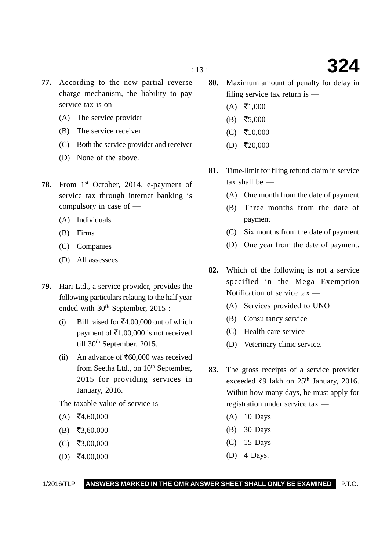- **77.** According to the new partial reverse charge mechanism, the liability to pay service tax is on —
	- (A) The service provider
	- (B) The service receiver
	- (C) Both the service provider and receiver
	- (D) None of the above.
- 78. From 1<sup>st</sup> October, 2014, e-payment of service tax through internet banking is compulsory in case of —
	- (A) Individuals
	- (B) Firms
	- (C) Companies
	- (D) All assessees.
- **79.** Hari Ltd., a service provider, provides the following particulars relating to the half year ended with  $30<sup>th</sup>$  September, 2015 :
	- (i) Bill raised for  $\text{\textsterling}4,00,000$  out of which payment of  $\bar{\mathfrak{E}}1,00,000$  is not received till 30<sup>th</sup> September, 2015.
	- (ii) An advance of  $\text{\textsterling}60,000$  was received from Seetha Ltd., on 10<sup>th</sup> September, 2015 for providing services in January, 2016.

The taxable value of service is —

- $(A)$  ₹4,60,000
- $(B)$  ₹3,60,000
- $(C)$  ₹3,00,000
- $(D)$  ₹4,00,000
- **80.** Maximum amount of penalty for delay in filing service tax return is —
	- $(A)$  ₹1,000
	- $(B)$  ₹5,000
	- $(C)$  ₹10,000
	- $(D)$  ₹20,000
- **81.** Time-limit for filing refund claim in service tax shall be —
	- (A) One month from the date of payment
	- (B) Three months from the date of payment
	- (C) Six months from the date of payment
	- (D) One year from the date of payment.
- **82.** Which of the following is not a service specified in the Mega Exemption Notification of service tax —
	- (A) Services provided to UNO
	- (B) Consultancy service
	- (C) Health care service
	- (D) Veterinary clinic service.
- **83.** The gross receipts of a service provider exceeded ₹9 lakh on 25<sup>th</sup> January, 2016. Within how many days, he must apply for registration under service tax —
	- (A) 10 Days
	- (B) 30 Days
	- (C) 15 Days
	- (D) 4 Days.

1/2016/TLP **ANSWERS MARKED IN THE OMR ANSWER SHEET SHALL ONLY BE EXAMINED** P.T.O.

: 13 : **324**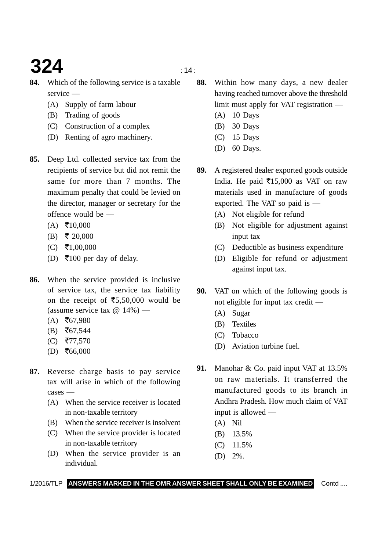# **324**  $\frac{14}{14}$

- **84.** Which of the following service is a taxable service —
	- (A) Supply of farm labour
	- (B) Trading of goods
	- (C) Construction of a complex
	- (D) Renting of agro machinery.
- **85.** Deep Ltd. collected service tax from the recipients of service but did not remit the same for more than 7 months. The maximum penalty that could be levied on the director, manager or secretary for the offence would be —
	- $(A)$  ₹10,000
	- $(B) \t{} \t{} \t{} 20,000$
	- $(C)$  ₹1,00,000
	- (D) ₹100 per day of delay.
- **86.** When the service provided is inclusive of service tax, the service tax liability on the receipt of  $\overline{5,50,000}$  would be (assume service tax  $\omega$  14%) —
	- $(A)$  ₹67,980
	- $(B)$  ₹67,544
	- (C) ₹77,570
	- $(D)$  ₹66,000
- **87.** Reverse charge basis to pay service tax will arise in which of the following  $case =$ 
	- (A) When the service receiver is located in non-taxable territory
	- (B) When the service receiver is insolvent
	- (C) When the service provider is located in non-taxable territory
	- (D) When the service provider is an individual.
- **88.** Within how many days, a new dealer having reached turnover above the threshold limit must apply for VAT registration —
	- (A) 10 Days
	- (B) 30 Days
	- (C) 15 Days
	- (D) 60 Days.
- **89.** A registered dealer exported goods outside India. He paid  $\overline{5}15,000$  as VAT on raw materials used in manufacture of goods exported. The VAT so paid is —
	- (A) Not eligible for refund
	- (B) Not eligible for adjustment against input tax
	- (C) Deductible as business expenditure
	- (D) Eligible for refund or adjustment against input tax.
- **90.** VAT on which of the following goods is not eligible for input tax credit —
	- (A) Sugar
	- (B) Textiles
	- (C) Tobacco
	- (D) Aviation turbine fuel.
- **91.** Manohar & Co. paid input VAT at 13.5% on raw materials. It transferred the manufactured goods to its branch in Andhra Pradesh. How much claim of VAT input is allowed —
	- (A) Nil
	- (B) 13.5%
	- (C) 11.5%
	- (D) 2%.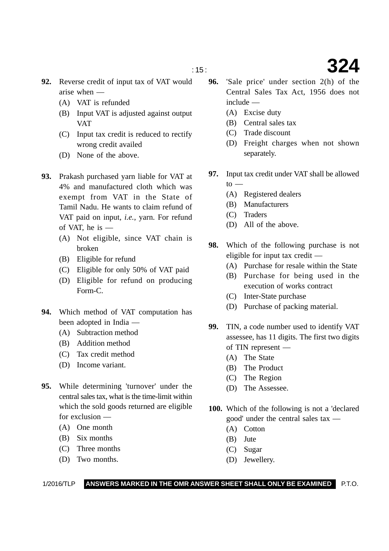- **92.** Reverse credit of input tax of VAT would arise when —
	- (A) VAT is refunded
	- (B) Input VAT is adjusted against output VAT
	- (C) Input tax credit is reduced to rectify wrong credit availed
	- (D) None of the above.
- **93.** Prakash purchased yarn liable for VAT at 4% and manufactured cloth which was exempt from VAT in the State of Tamil Nadu. He wants to claim refund of VAT paid on input, *i.e.*, yarn. For refund of VAT, he is —
	- (A) Not eligible, since VAT chain is broken
	- (B) Eligible for refund
	- (C) Eligible for only 50% of VAT paid
	- (D) Eligible for refund on producing Form-C.
- **94.** Which method of VAT computation has been adopted in India —
	- (A) Subtraction method
	- (B) Addition method
	- (C) Tax credit method
	- (D) Income variant.
- **95.** While determining 'turnover' under the central sales tax, what is the time-limit within which the sold goods returned are eligible for exclusion —
	- (A) One month
	- (B) Six months
	- (C) Three months
	- (D) Two months.
- **96.** 'Sale price' under section 2(h) of the Central Sales Tax Act, 1956 does not include —
	- (A) Excise duty
	- (B) Central sales tax
	- (C) Trade discount
	- (D) Freight charges when not shown separately.
- **97.** Input tax credit under VAT shall be allowed to  $-$ 
	- (A) Registered dealers
	- (B) Manufacturers
	- (C) Traders
	- (D) All of the above.
- **98.** Which of the following purchase is not eligible for input tax credit —
	- (A) Purchase for resale within the State
	- (B) Purchase for being used in the execution of works contract
	- (C) Inter-State purchase
	- (D) Purchase of packing material.
- **99.** TIN, a code number used to identify VAT assessee, has 11 digits. The first two digits of TIN represent —
	- (A) The State
	- (B) The Product
	- (C) The Region
	- (D) The Assessee.
- **100.** Which of the following is not a 'declared good' under the central sales tax —
	- (A) Cotton
	- (B) Jute
	- (C) Sugar
	- (D) Jewellery.

# : 15 : **324**